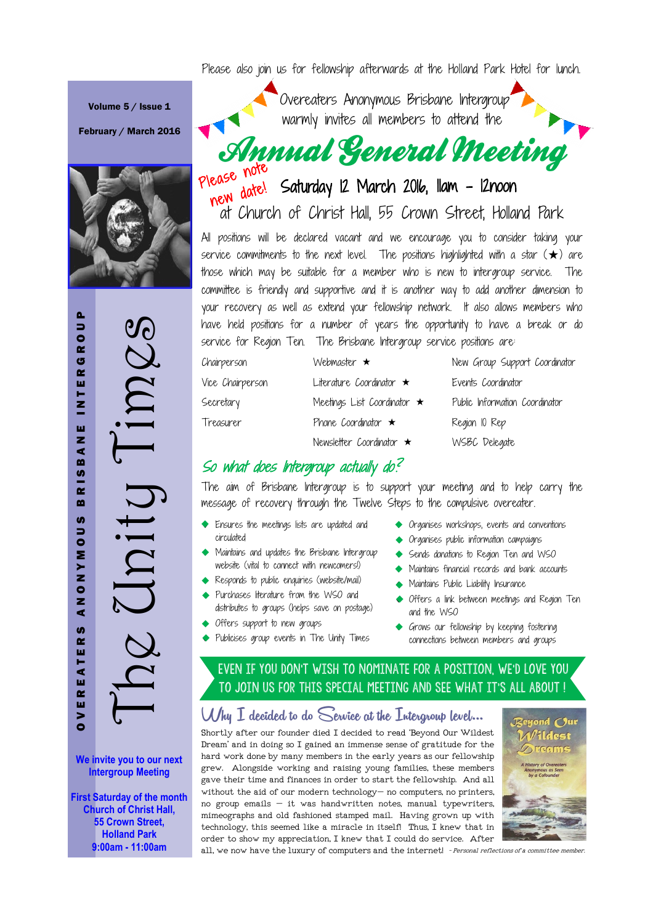Please also join us for fellowship afterwards at the Holland Park Hotel for lunch.

Volume 5 / Issue 1

February / March 2016



The Unity Times OVEREATERS ANONYMOUS BRISBANE INTERGROUP ROU  $\frac{\partial C}{\partial \lambda}$ G  $\sim$ T E I .<br>= ш z  $\bar{\bullet}$  $\mathbf{m}$ **RIS** Uniq  $\mathbf{m}$ U)  $\Rightarrow$ O<br>E VNV  $\overline{z}$ ⋖ U)  $\overline{\mathbf{r}}$ EATEI  $\alpha$ w  $\blacktriangleright$  $\bullet$ 

**We invite you to our next Intergroup Meeting**

**First Saturday of the month Church of Christ Hall, 55 Crown Street, Holland Park 9:00am - 11:00am**

Overeaters Anonymous Brisbane Intergroup warmly invites all members to attend the Annual General Meeting

hew date! Saturday 12 March 2016, 11am - 12noon at Church of Christ Hall, 55 Crown Street, Holland Park

service commitments to the next level. The positions highlighted with a star  $(\bigstar)$  are All positions will be declared vacant and we encourage you to consider taking your those which may be suitable for a member who is new to intergroup service. The committee is friendly and supportive and it is another way to add another dimension to your recovery as well as extend your fellowship network. It also allows members who have held positions for a number of years the opportunity to have a break or do service for Region Ten. The Brisbane Intergroup service positions are:

| Chairperson      | Webmaster $\star$                 | New Group Support Coordinator  |
|------------------|-----------------------------------|--------------------------------|
| Vice Chairperson | Literature Coordinator $\star$    | Events Coordinator             |
| Secretary        | Meetings List Coordinator $\star$ | Public Information Coordinator |
| Treasurer        | Phone Coordinator $\star$         | Region 10 Rep                  |
|                  | Newsletter Coordinator $\star$    | WSBC Delegate                  |

## So what does Intergroup actually do?

The aim of Brisbane Intergroup is to support your meeting and to help carry the message of recovery through the Twelve Steps to the compulsive overeater.

- $\leftrightarrow$  Ensures the meetings lists are updated and circulated
- $\leftrightarrow$  Maintains and updates the Brisbane Intergroup website (vital to connect with newcomers!)
- i Responds to public enquiries (website/mail)
- Purchases literature from the WSO and distributes to groups (helps save on postage)
- $\leftrightarrow$  Offers support to new groups
- $\leftrightarrow$  Publicises group events in The Unity Times
- $\leftrightarrow$  Organises workshops, events and conventions
- $\leftrightarrow$  Organises public information campaigns
- $\leftrightarrow$  Sends donations to Region Ten and WSO
- $\leftrightarrow$  Maintains financial records and bank accounts
- $\blacklozenge$  Maintains Public Liability Insurance
- i Offers a link between meetings and Region Ten and the WSO
- $\leftrightarrow$  Grows our fellowship by keeping fostering connections between members and groups

## EVEN IF YOU DON'T WISH TO NOMINATE FOR A POSITION, WE'D LOVE YOU to join us for this special meeting and see what it's all about !

### Why I decided to do Service at the Intergroup level...

Shortly after our founder died I decided to read 'Beyond Our Wildest Dream' and in doing so I gained an immense sense of gratitude for the hard work done by many members in the early years as our fellowship grew. Alongside working and raising young families, these members gave their time and finances in order to start the fellowship. And all without the aid of our modern technology—no computers, no printers, no group emails  $-$  it was handwritten notes, manual typewriters, mimeographs and old fashioned stamped mail. Having grown up with technology, this seemed like a miracle in itself! Thus, I knew that in order to show my appreciation, I knew that I could do service. After



of der to show my appreciation, I knew that I could do set vice. After **the community of a committee member.**<br>all, we now have the luxury of computers and the internet! *-Personal reflections of a committee member*.